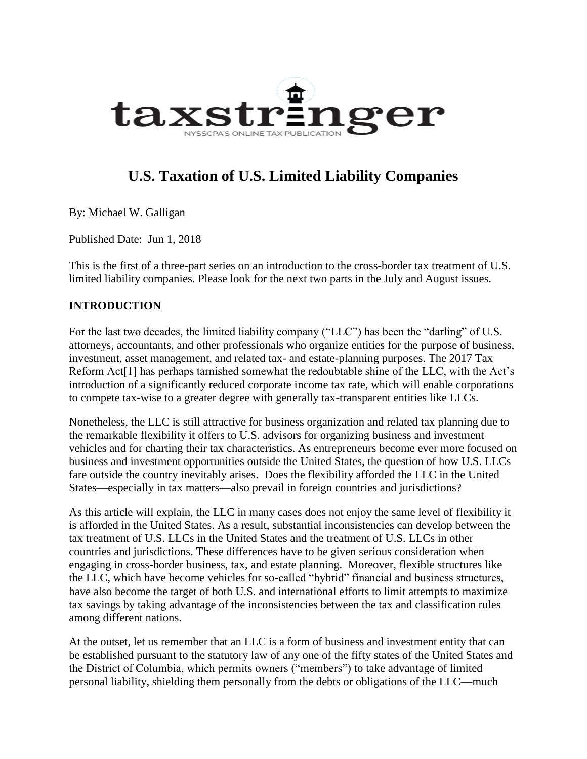

# **U.S. Taxation of U.S. Limited Liability Companies**

By: Michael W. Galligan

Published Date: Jun 1, 2018

This is the first of a three-part series on an introduction to the cross-border tax treatment of U.S. limited liability companies. Please look for the next two parts in the July and August issues.

#### **INTRODUCTION**

For the last two decades, the limited liability company ("LLC") has been the "darling" of U.S. attorneys, accountants, and other professionals who organize entities for the purpose of business, investment, asset management, and related tax- and estate-planning purposes. The 2017 Tax Reform Act<sup>[1]</sup> has perhaps tarnished somewhat the redoubtable shine of the LLC, with the Act's introduction of a significantly reduced corporate income tax rate, which will enable corporations to compete tax-wise to a greater degree with generally tax-transparent entities like LLCs.

Nonetheless, the LLC is still attractive for business organization and related tax planning due to the remarkable flexibility it offers to U.S. advisors for organizing business and investment vehicles and for charting their tax characteristics. As entrepreneurs become ever more focused on business and investment opportunities outside the United States, the question of how U.S. LLCs fare outside the country inevitably arises. Does the flexibility afforded the LLC in the United States—especially in tax matters—also prevail in foreign countries and jurisdictions?

As this article will explain, the LLC in many cases does not enjoy the same level of flexibility it is afforded in the United States. As a result, substantial inconsistencies can develop between the tax treatment of U.S. LLCs in the United States and the treatment of U.S. LLCs in other countries and jurisdictions. These differences have to be given serious consideration when engaging in cross-border business, tax, and estate planning. Moreover, flexible structures like the LLC, which have become vehicles for so-called "hybrid" financial and business structures, have also become the target of both U.S. and international efforts to limit attempts to maximize tax savings by taking advantage of the inconsistencies between the tax and classification rules among different nations.

At the outset, let us remember that an LLC is a form of business and investment entity that can be established pursuant to the statutory law of any one of the fifty states of the United States and the District of Columbia, which permits owners ("members") to take advantage of limited personal liability, shielding them personally from the debts or obligations of the LLC—much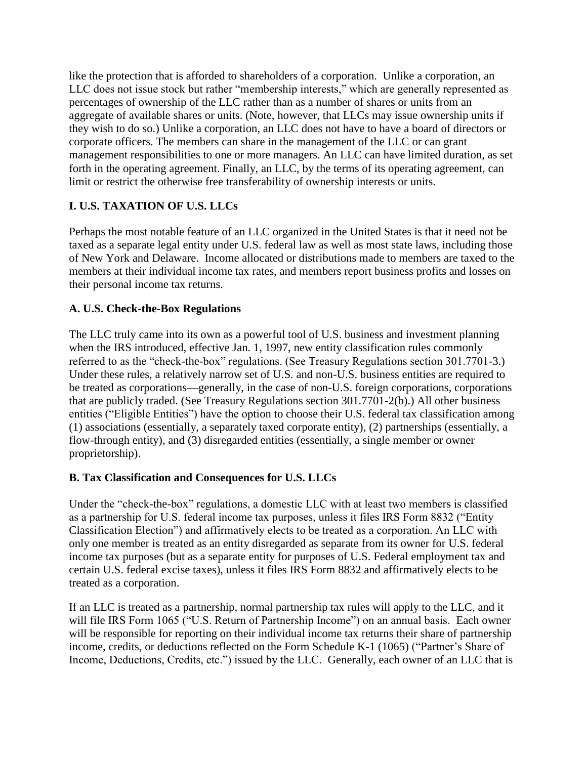like the protection that is afforded to shareholders of a corporation. Unlike a corporation, an LLC does not issue stock but rather "membership interests," which are generally represented as percentages of ownership of the LLC rather than as a number of shares or units from an aggregate of available shares or units. (Note, however, that LLCs may issue ownership units if they wish to do so.) Unlike a corporation, an LLC does not have to have a board of directors or corporate officers. The members can share in the management of the LLC or can grant management responsibilities to one or more managers. An LLC can have limited duration, as set forth in the operating agreement. Finally, an LLC, by the terms of its operating agreement, can limit or restrict the otherwise free transferability of ownership interests or units.

## **I. U.S. TAXATION OF U.S. LLCs**

Perhaps the most notable feature of an LLC organized in the United States is that it need not be taxed as a separate legal entity under U.S. federal law as well as most state laws, including those of New York and Delaware. Income allocated or distributions made to members are taxed to the members at their individual income tax rates, and members report business profits and losses on their personal income tax returns.

## **A. U.S. Check-the-Box Regulations**

The LLC truly came into its own as a powerful tool of U.S. business and investment planning when the IRS introduced, effective Jan. 1, 1997, new entity classification rules commonly referred to as the "check-the-box" regulations. (See Treasury Regulations section 301.7701-3.) Under these rules, a relatively narrow set of U.S. and non-U.S. business entities are required to be treated as corporations—generally, in the case of non-U.S. foreign corporations, corporations that are publicly traded. (See Treasury Regulations section 301.7701-2(b).) All other business entities ("Eligible Entities") have the option to choose their U.S. federal tax classification among (1) associations (essentially, a separately taxed corporate entity), (2) partnerships (essentially, a flow-through entity), and (3) disregarded entities (essentially, a single member or owner proprietorship).

#### **B. Tax Classification and Consequences for U.S. LLCs**

Under the "check-the-box" regulations, a domestic LLC with at least two members is classified as a partnership for U.S. federal income tax purposes, unless it files IRS Form 8832 ("Entity Classification Election") and affirmatively elects to be treated as a corporation. An LLC with only one member is treated as an entity disregarded as separate from its owner for U.S. federal income tax purposes (but as a separate entity for purposes of U.S. Federal employment tax and certain U.S. federal excise taxes), unless it files IRS Form 8832 and affirmatively elects to be treated as a corporation.

If an LLC is treated as a partnership, normal partnership tax rules will apply to the LLC, and it will file IRS Form 1065 ("U.S. Return of Partnership Income") on an annual basis. Each owner will be responsible for reporting on their individual income tax returns their share of partnership income, credits, or deductions reflected on the Form Schedule K-1 (1065) ("Partner's Share of Income, Deductions, Credits, etc.") issued by the LLC. Generally, each owner of an LLC that is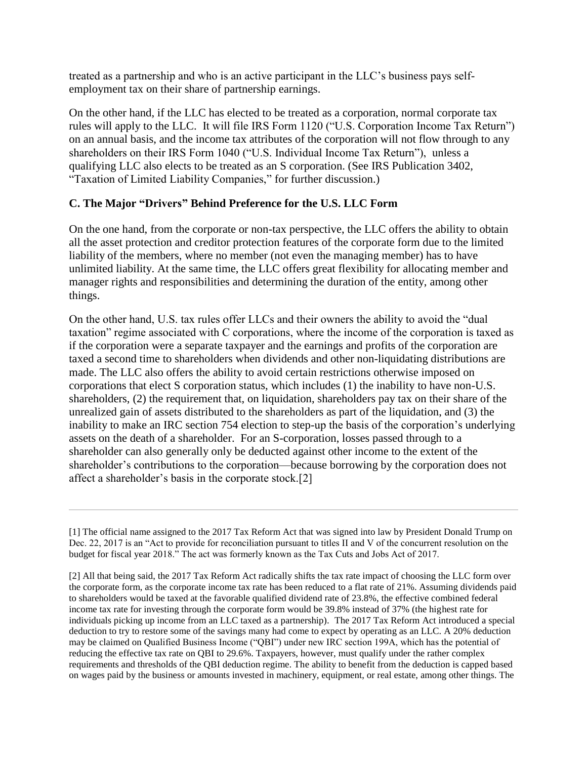treated as a partnership and who is an active participant in the LLC's business pays selfemployment tax on their share of partnership earnings.

On the other hand, if the LLC has elected to be treated as a corporation, normal corporate tax rules will apply to the LLC. It will file IRS Form 1120 ("U.S. Corporation Income Tax Return") on an annual basis, and the income tax attributes of the corporation will not flow through to any shareholders on their IRS Form 1040 ("U.S. Individual Income Tax Return"), unless a qualifying LLC also elects to be treated as an S corporation. (See IRS Publication 3402, "Taxation of Limited Liability Companies," for further discussion.)

### **C. The Major "Drivers" Behind Preference for the U.S. LLC Form**

On the one hand, from the corporate or non-tax perspective, the LLC offers the ability to obtain all the asset protection and creditor protection features of the corporate form due to the limited liability of the members, where no member (not even the managing member) has to have unlimited liability. At the same time, the LLC offers great flexibility for allocating member and manager rights and responsibilities and determining the duration of the entity, among other things.

On the other hand, U.S. tax rules offer LLCs and their owners the ability to avoid the "dual taxation" regime associated with C corporations, where the income of the corporation is taxed as if the corporation were a separate taxpayer and the earnings and profits of the corporation are taxed a second time to shareholders when dividends and other non-liquidating distributions are made. The LLC also offers the ability to avoid certain restrictions otherwise imposed on corporations that elect S corporation status, which includes (1) the inability to have non-U.S. shareholders, (2) the requirement that, on liquidation, shareholders pay tax on their share of the unrealized gain of assets distributed to the shareholders as part of the liquidation, and (3) the inability to make an IRC section 754 election to step-up the basis of the corporation's underlying assets on the death of a shareholder. For an S-corporation, losses passed through to a shareholder can also generally only be deducted against other income to the extent of the shareholder's contributions to the corporation—because borrowing by the corporation does not affect a shareholder's basis in the corporate stock.[2]

<sup>[1]</sup> The official name assigned to the 2017 Tax Reform Act that was signed into law by President Donald Trump on Dec. 22, 2017 is an "Act to provide for reconciliation pursuant to titles II and V of the concurrent resolution on the budget for fiscal year 2018." The act was formerly known as the Tax Cuts and Jobs Act of 2017.

<sup>[2]</sup> All that being said, the 2017 Tax Reform Act radically shifts the tax rate impact of choosing the LLC form over the corporate form, as the corporate income tax rate has been reduced to a flat rate of 21%. Assuming dividends paid to shareholders would be taxed at the favorable qualified dividend rate of 23.8%, the effective combined federal income tax rate for investing through the corporate form would be 39.8% instead of 37% (the highest rate for individuals picking up income from an LLC taxed as a partnership). The 2017 Tax Reform Act introduced a special deduction to try to restore some of the savings many had come to expect by operating as an LLC. A 20% deduction may be claimed on Qualified Business Income ("QBI") under new IRC section 199A, which has the potential of reducing the effective tax rate on QBI to 29.6%. Taxpayers, however, must qualify under the rather complex requirements and thresholds of the QBI deduction regime. The ability to benefit from the deduction is capped based on wages paid by the business or amounts invested in machinery, equipment, or real estate, among other things. The